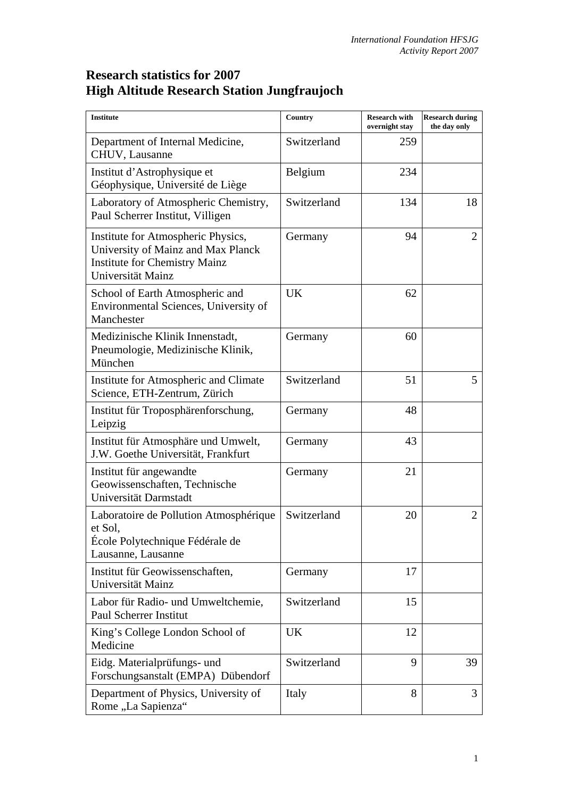## **Research statistics for 2007 High Altitude Research Station Jungfraujoch**

| <b>Institute</b>                                                                                                                      | Country     | <b>Research with</b><br>overnight stav | <b>Research during</b><br>the day only |
|---------------------------------------------------------------------------------------------------------------------------------------|-------------|----------------------------------------|----------------------------------------|
| Department of Internal Medicine,<br>CHUV, Lausanne                                                                                    | Switzerland | 259                                    |                                        |
| Institut d'Astrophysique et<br>Géophysique, Université de Liège                                                                       | Belgium     | 234                                    |                                        |
| Laboratory of Atmospheric Chemistry,<br>Paul Scherrer Institut, Villigen                                                              | Switzerland | 134                                    | 18                                     |
| Institute for Atmospheric Physics,<br>University of Mainz and Max Planck<br><b>Institute for Chemistry Mainz</b><br>Universität Mainz | Germany     | 94                                     | 2                                      |
| School of Earth Atmospheric and<br>Environmental Sciences, University of<br>Manchester                                                | <b>UK</b>   | 62                                     |                                        |
| Medizinische Klinik Innenstadt,<br>Pneumologie, Medizinische Klinik,<br>München                                                       | Germany     | 60                                     |                                        |
| Institute for Atmospheric and Climate<br>Science, ETH-Zentrum, Zürich                                                                 | Switzerland | 51                                     | 5                                      |
| Institut für Troposphärenforschung,<br>Leipzig                                                                                        | Germany     | 48                                     |                                        |
| Institut für Atmosphäre und Umwelt,<br>J.W. Goethe Universität, Frankfurt                                                             | Germany     | 43                                     |                                        |
| Institut für angewandte<br>Geowissenschaften, Technische<br>Universität Darmstadt                                                     | Germany     | 21                                     |                                        |
| Laboratoire de Pollution Atmosphérique<br>et Sol,<br>École Polytechnique Fédérale de<br>Lausanne, Lausanne                            | Switzerland | 20                                     | $\overline{2}$                         |
| Institut für Geowissenschaften,<br>Universität Mainz                                                                                  | Germany     | 17                                     |                                        |
| Labor für Radio- und Umweltchemie,<br><b>Paul Scherrer Institut</b>                                                                   | Switzerland | 15                                     |                                        |
| King's College London School of<br>Medicine                                                                                           | UK          | 12                                     |                                        |
| Eidg. Materialprüfungs- und<br>Forschungsanstalt (EMPA) Dübendorf                                                                     | Switzerland | 9                                      | 39                                     |
| Department of Physics, University of<br>Rome "La Sapienza"                                                                            | Italy       | 8                                      | 3                                      |